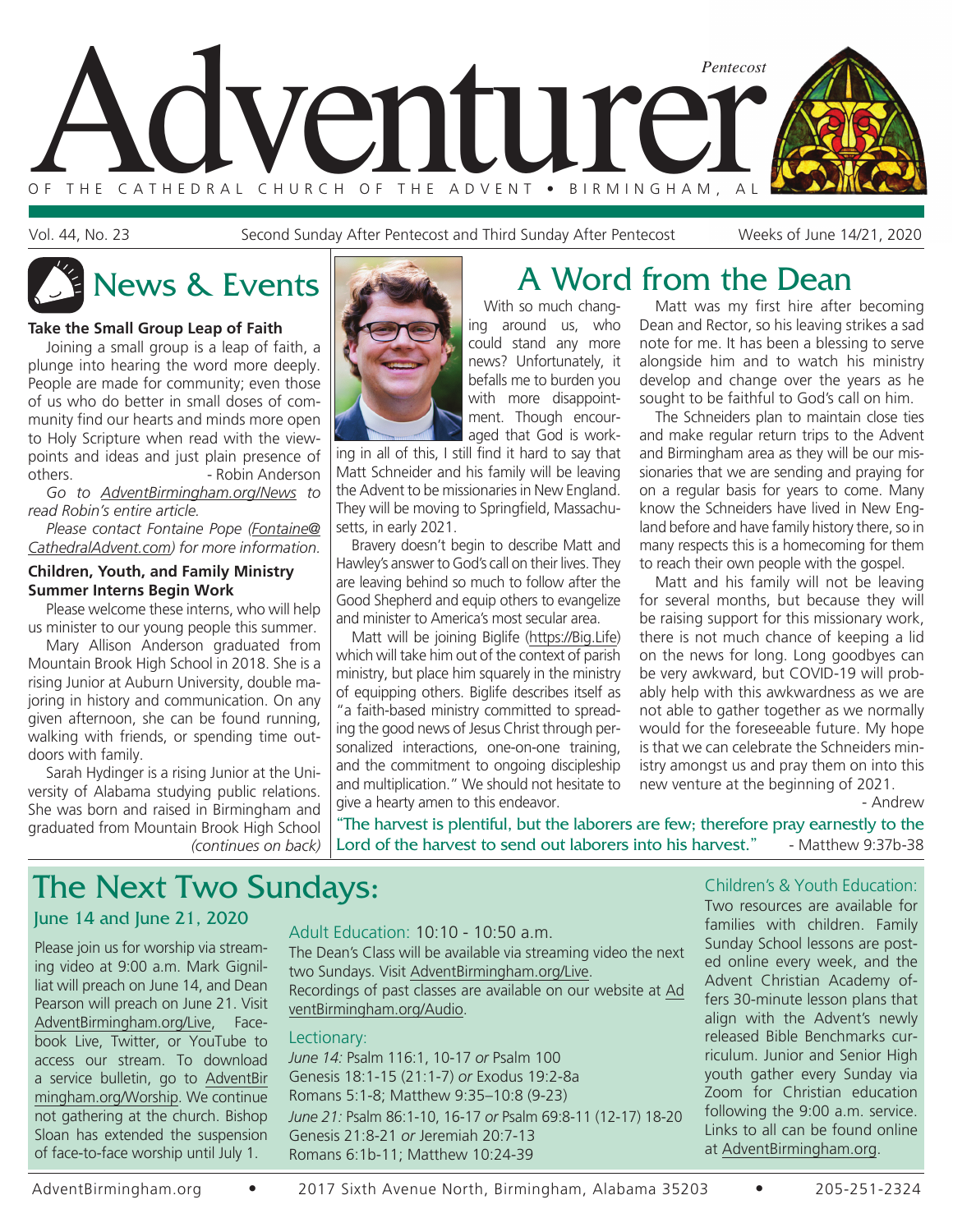

Vol. 44, No. 23 Second Sunday After Pentecost and Third Sunday After Pentecost Weeks of June 14/21, 2020

### **Take the Small Group Leap of Faith**

Joining a small group is a leap of faith, a plunge into hearing the word more deeply. People are made for community; even those of us who do better in small doses of community find our hearts and minds more open to Holy Scripture when read with the viewpoints and ideas and just plain presence of others. **- Robin Anderson** 

*Go to AdventBirmingham.org/News to read Robin's entire article.*

*Please contact Fontaine Pope (Fontaine@ CathedralAdvent.com) for more information.*

#### **Children, Youth, and Family Ministry Summer Interns Begin Work**

Please welcome these interns, who will help us minister to our young people this summer.

Mary Allison Anderson graduated from Mountain Brook High School in 2018. She is a rising Junior at Auburn University, double majoring in history and communication. On any given afternoon, she can be found running, walking with friends, or spending time outdoors with family.

*(continues on back)* Sarah Hydinger is a rising Junior at the University of Alabama studying public relations. She was born and raised in Birmingham and graduated from Mountain Brook High School



# News & Events **A** Word from the Dean

With so much changing around us, who could stand any more news? Unfortunately, it befalls me to burden you with more disappointment. Though encouraged that God is work-

ing in all of this, I still find it hard to say that Matt Schneider and his family will be leaving the Advent to be missionaries in New England. They will be moving to Springfield, Massachusetts, in early 2021.

Bravery doesn't begin to describe Matt and Hawley's answer to God's call on their lives. They are leaving behind so much to follow after the Good Shepherd and equip others to evangelize and minister to America's most secular area.

Matt will be joining Biglife (https://Big.Life) which will take him out of the context of parish ministry, but place him squarely in the ministry of equipping others. Biglife describes itself as "a faith-based ministry committed to spreading the good news of Jesus Christ through personalized interactions, one-on-one training, and the commitment to ongoing discipleship and multiplication." We should not hesitate to give a hearty amen to this endeavor.

Matt was my first hire after becoming Dean and Rector, so his leaving strikes a sad note for me. It has been a blessing to serve alongside him and to watch his ministry develop and change over the years as he sought to be faithful to God's call on him.

The Schneiders plan to maintain close ties and make regular return trips to the Advent and Birmingham area as they will be our missionaries that we are sending and praying for on a regular basis for years to come. Many know the Schneiders have lived in New England before and have family history there, so in many respects this is a homecoming for them to reach their own people with the gospel.

Matt and his family will not be leaving for several months, but because they will be raising support for this missionary work, there is not much chance of keeping a lid on the news for long. Long goodbyes can be very awkward, but COVID-19 will probably help with this awkwardness as we are not able to gather together as we normally would for the foreseeable future. My hope is that we can celebrate the Schneiders ministry amongst us and pray them on into this new venture at the beginning of 2021.

- Andrew

"The harvest is plentiful, but the laborers are few; therefore pray earnestly to the Lord of the harvest to send out laborers into his harvest." - Matthew 9:37b-38

# The Next Two Sundays:

### June 14 and June 21, 2020

Please join us for worship via streaming video at 9:00 a.m. Mark Gignilliat will preach on June 14, and Dean Pearson will preach on June 21. Visit AdventBirmingham.org/Live, Facebook Live, Twitter, or YouTube to access our stream. To download a service bulletin, go to AdventBir mingham.org/Worship. We continue not gathering at the church. Bishop Sloan has extended the suspension of face-to-face worship until July 1.

### Adult Education: 10:10 - 10:50 a.m.

The Dean's Class will be available via streaming video the next two Sundays. Visit AdventBirmingham.org/Live. Recordings of past classes are available on our website at Ad ventBirmingham.org/Audio.

#### Lectionary:

*June 14:* Psalm 116:1, 10-17 *or* Psalm 100 Genesis 18:1-15 (21:1-7) *or* Exodus 19:2-8a Romans 5:1-8; Matthew 9:35–10:8 (9-23) *June 21:* Psalm 86:1-10, 16-17 *or* Psalm 69:8-11 (12-17) 18-20 Genesis 21:8-21 *or* Jeremiah 20:7-13 Romans 6:1b-11; Matthew 10:24-39

### Children's & Youth Education:

Two resources are available for families with children. Family Sunday School lessons are posted online every week, and the Advent Christian Academy offers 30-minute lesson plans that align with the Advent's newly released Bible Benchmarks curriculum. Junior and Senior High youth gather every Sunday via Zoom for Christian education following the 9:00 a.m. service. Links to all can be found online at AdventBirmingham.org.